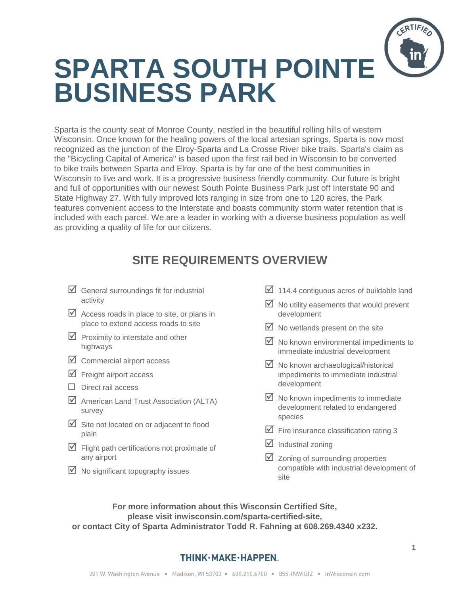

Sparta is the county seat of Monroe County, nestled in the beautiful rolling hills of western Wisconsin. Once known for the healing powers of the local artesian springs, Sparta is now most recognized as the junction of the Elroy-Sparta and La Crosse River bike trails. Sparta's claim as the "Bicycling Capital of America" is based upon the first rail bed in Wisconsin to be converted to bike trails between Sparta and Elroy. Sparta is by far one of the best communities in Wisconsin to live and work. It is a progressive business friendly community. Our future is bright and full of opportunities with our newest South Pointe Business Park just off Interstate 90 and State Highway 27. With fully improved lots ranging in size from one to 120 acres, the Park features convenient access to the Interstate and boasts community storm water retention that is included with each parcel. We are a leader in working with a diverse business population as well as providing a quality of life for our citizens.

## **SITE REQUIREMENTS OVERVIEW**

- $\boxtimes$  General surroundings fit for industrial activity
- $\triangledown$  Access roads in place to site, or plans in place to extend access roads to site
- $\triangleright$  Proximity to interstate and other highways
- $\boxtimes$  Commercial airport access
- $\triangledown$  Freight airport access
- $\Box$  Direct rail access
- $\boxtimes$  American Land Trust Association (ALTA) survey
- $\boxtimes$  Site not located on or adjacent to flood plain
- $\triangleright$  Flight path certifications not proximate of any airport
- $\boxtimes$  No significant topography issues
- $\boxtimes$  114.4 contiguous acres of buildable land
- $\boxtimes$  No utility easements that would prevent development
- $\boxtimes$  No wetlands present on the site
- $\boxtimes$  No known environmental impediments to immediate industrial development
- $\boxtimes$  No known archaeological/historical impediments to immediate industrial development
- $\boxtimes$  No known impediments to immediate development related to endangered species
- $\overline{\mathbf{y}}$  Fire insurance classification rating 3
- $\overline{\mathbf{y}}$  Industrial zoning
- $\boxtimes$  Zoning of surrounding properties compatible with industrial development of site

**For more information about this Wisconsin Certified Site, please visit inwisconsin.com/sparta-certified-site, or contact City of Sparta Administrator Todd R. Fahning at 608.269.4340 x232.**

## THINK·MAKE·HAPPEN.

**1**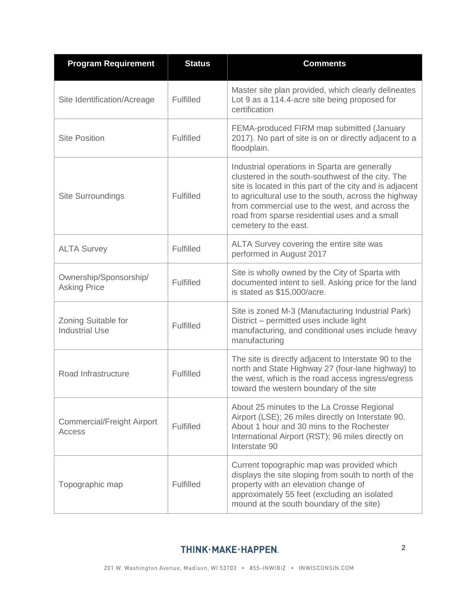| <b>Program Requirement</b>                    | <b>Status</b>    | <b>Comments</b>                                                                                                                                                                                                                                                                                                                                     |
|-----------------------------------------------|------------------|-----------------------------------------------------------------------------------------------------------------------------------------------------------------------------------------------------------------------------------------------------------------------------------------------------------------------------------------------------|
| Site Identification/Acreage                   | Fulfilled        | Master site plan provided, which clearly delineates<br>Lot 9 as a 114.4-acre site being proposed for<br>certification                                                                                                                                                                                                                               |
| <b>Site Position</b>                          | Fulfilled        | FEMA-produced FIRM map submitted (January<br>2017). No part of site is on or directly adjacent to a<br>floodplain.                                                                                                                                                                                                                                  |
| <b>Site Surroundings</b>                      | <b>Fulfilled</b> | Industrial operations in Sparta are generally<br>clustered in the south-southwest of the city. The<br>site is located in this part of the city and is adjacent<br>to agricultural use to the south, across the highway<br>from commercial use to the west, and across the<br>road from sparse residential uses and a small<br>cemetery to the east. |
| <b>ALTA Survey</b>                            | <b>Fulfilled</b> | ALTA Survey covering the entire site was<br>performed in August 2017                                                                                                                                                                                                                                                                                |
| Ownership/Sponsorship/<br><b>Asking Price</b> | <b>Fulfilled</b> | Site is wholly owned by the City of Sparta with<br>documented intent to sell. Asking price for the land<br>is stated as \$15,000/acre.                                                                                                                                                                                                              |
| Zoning Suitable for<br><b>Industrial Use</b>  | <b>Fulfilled</b> | Site is zoned M-3 (Manufacturing Industrial Park)<br>District - permitted uses include light<br>manufacturing, and conditional uses include heavy<br>manufacturing                                                                                                                                                                                  |
| Road Infrastructure                           | <b>Fulfilled</b> | The site is directly adjacent to Interstate 90 to the<br>north and State Highway 27 (four-lane highway) to<br>the west, which is the road access ingress/egress<br>toward the western boundary of the site                                                                                                                                          |
| <b>Commercial/Freight Airport</b><br>Access   | Fulfilled        | About 25 minutes to the La Crosse Regional<br>Airport (LSE); 26 miles directly on Interstate 90.<br>About 1 hour and 30 mins to the Rochester<br>International Airport (RST); 96 miles directly on<br>Interstate 90                                                                                                                                 |
| Topographic map                               | Fulfilled        | Current topographic map was provided which<br>displays the site sloping from south to north of the<br>property with an elevation change of<br>approximately 55 feet (excluding an isolated<br>mound at the south boundary of the site)                                                                                                              |

## THINK·MAKE·HAPPEN.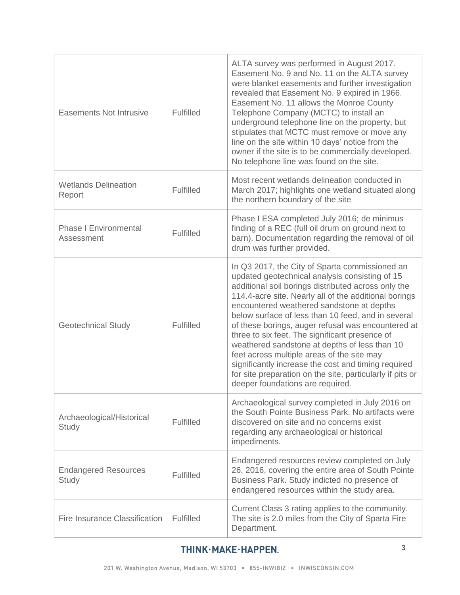| <b>Easements Not Intrusive</b>             | <b>Fulfilled</b> | ALTA survey was performed in August 2017.<br>Easement No. 9 and No. 11 on the ALTA survey<br>were blanket easements and further investigation<br>revealed that Easement No. 9 expired in 1966.<br>Easement No. 11 allows the Monroe County<br>Telephone Company (MCTC) to install an<br>underground telephone line on the property, but<br>stipulates that MCTC must remove or move any<br>line on the site within 10 days' notice from the<br>owner if the site is to be commercially developed.<br>No telephone line was found on the site.                                                                                                                                      |
|--------------------------------------------|------------------|------------------------------------------------------------------------------------------------------------------------------------------------------------------------------------------------------------------------------------------------------------------------------------------------------------------------------------------------------------------------------------------------------------------------------------------------------------------------------------------------------------------------------------------------------------------------------------------------------------------------------------------------------------------------------------|
| <b>Wetlands Delineation</b><br>Report      | <b>Fulfilled</b> | Most recent wetlands delineation conducted in<br>March 2017; highlights one wetland situated along<br>the northern boundary of the site                                                                                                                                                                                                                                                                                                                                                                                                                                                                                                                                            |
| <b>Phase I Environmental</b><br>Assessment | <b>Fulfilled</b> | Phase I ESA completed July 2016; de minimus<br>finding of a REC (full oil drum on ground next to<br>barn). Documentation regarding the removal of oil<br>drum was further provided.                                                                                                                                                                                                                                                                                                                                                                                                                                                                                                |
| <b>Geotechnical Study</b>                  | <b>Fulfilled</b> | In Q3 2017, the City of Sparta commissioned an<br>updated geotechnical analysis consisting of 15<br>additional soil borings distributed across only the<br>114.4-acre site. Nearly all of the additional borings<br>encountered weathered sandstone at depths<br>below surface of less than 10 feed, and in several<br>of these borings, auger refusal was encountered at<br>three to six feet. The significant presence of<br>weathered sandstone at depths of less than 10<br>feet across multiple areas of the site may<br>significantly increase the cost and timing required<br>for site preparation on the site, particularly if pits or<br>deeper foundations are required. |
| Archaeological/Historical<br>Study         | <b>Fulfilled</b> | Archaeological survey completed in July 2016 on<br>the South Pointe Business Park. No artifacts were<br>discovered on site and no concerns exist<br>regarding any archaeological or historical<br>impediments.                                                                                                                                                                                                                                                                                                                                                                                                                                                                     |
| <b>Endangered Resources</b><br>Study       | Fulfilled        | Endangered resources review completed on July<br>26, 2016, covering the entire area of South Pointe<br>Business Park. Study indicted no presence of<br>endangered resources within the study area.                                                                                                                                                                                                                                                                                                                                                                                                                                                                                 |
| Fire Insurance Classification              | <b>Fulfilled</b> | Current Class 3 rating applies to the community.<br>The site is 2.0 miles from the City of Sparta Fire<br>Department.                                                                                                                                                                                                                                                                                                                                                                                                                                                                                                                                                              |

## THINK·MAKE·HAPPEN.